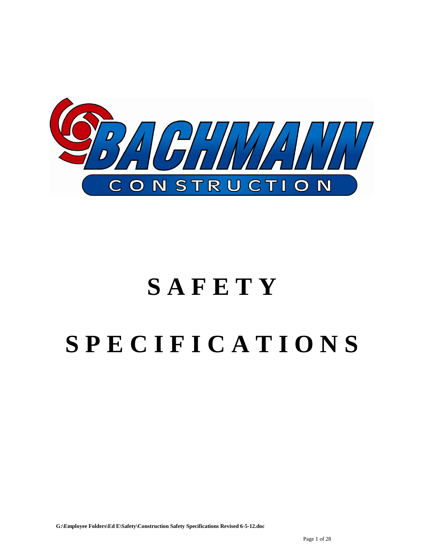

# **S A F E T Y S P E C I F I C A T I O N S**

**G:\Employee Folders\Ed E\Safety\Construction Safety Specifications Revised 6-5-12.doc**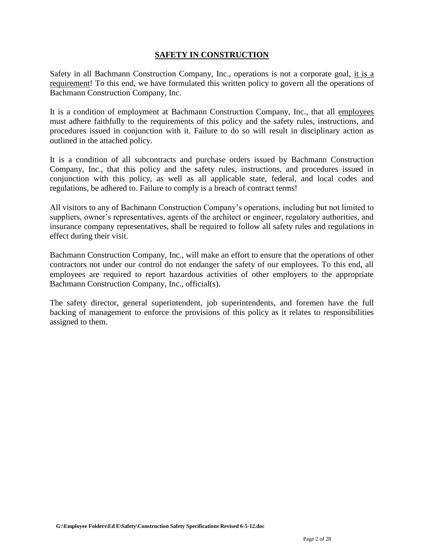# **SAFETY IN CONSTRUCTION**

Safety in all Bachmann Construction Company, Inc., operations is not a corporate goal, it is a requirement! To this end, we have formulated this written policy to govern all the operations of Bachmann Construction Company, Inc.

It is a condition of employment at Bachmann Construction Company, Inc., that all employees must adhere faithfully to the requirements of this policy and the safety rules, instructions, and procedures issued in conjunction with it. Failure to do so will result in disciplinary action as outlined in the attached policy.

It is a condition of all subcontracts and purchase orders issued by Bachmann Construction Company, Inc., that this policy and the safety rules, instructions, and procedures issued in conjunction with this policy, as well as all applicable state, federal, and local codes and regulations, be adhered to. Failure to comply is a breach of contract terms!

All visitors to any of Bachmann Construction Company's operations, including but not limited to suppliers, owner's representatives, agents of the architect or engineer, regulatory authorities, and insurance company representatives, shall be required to follow all safety rules and regulations in effect during their visit.

Bachmann Construction Company, Inc., will make an effort to ensure that the operations of other contractors not under our control do not endanger the safety of our employees. To this end, all employees are required to report hazardous activities of other employers to the appropriate Bachmann Construction Company, Inc., official(s).

The safety director, general superintendent, job superintendents, and foremen have the full backing of management to enforce the provisions of this policy as it relates to responsibilities assigned to them.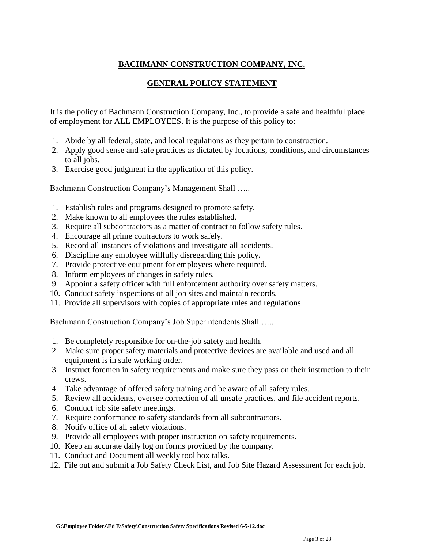# **BACHMANN CONSTRUCTION COMPANY, INC.**

# **GENERAL POLICY STATEMENT**

It is the policy of Bachmann Construction Company, Inc., to provide a safe and healthful place of employment for ALL EMPLOYEES. It is the purpose of this policy to:

- 1. Abide by all federal, state, and local regulations as they pertain to construction.
- 2. Apply good sense and safe practices as dictated by locations, conditions, and circumstances to all jobs.
- 3. Exercise good judgment in the application of this policy.

# Bachmann Construction Company's Management Shall …..

- 1. Establish rules and programs designed to promote safety.
- 2. Make known to all employees the rules established.
- 3. Require all subcontractors as a matter of contract to follow safety rules.
- 4. Encourage all prime contractors to work safely.
- 5. Record all instances of violations and investigate all accidents.
- 6. Discipline any employee willfully disregarding this policy.
- 7. Provide protective equipment for employees where required.
- 8. Inform employees of changes in safety rules.
- 9. Appoint a safety officer with full enforcement authority over safety matters.
- 10. Conduct safety inspections of all job sites and maintain records.
- 11. Provide all supervisors with copies of appropriate rules and regulations.

# Bachmann Construction Company's Job Superintendents Shall .....

- 1. Be completely responsible for on-the-job safety and health.
- 2. Make sure proper safety materials and protective devices are available and used and all equipment is in safe working order.
- 3. Instruct foremen in safety requirements and make sure they pass on their instruction to their crews.
- 4. Take advantage of offered safety training and be aware of all safety rules.
- 5. Review all accidents, oversee correction of all unsafe practices, and file accident reports.
- 6. Conduct job site safety meetings.
- 7. Require conformance to safety standards from all subcontractors.
- 8. Notify office of all safety violations.
- 9. Provide all employees with proper instruction on safety requirements.
- 10. Keep an accurate daily log on forms provided by the company.
- 11. Conduct and Document all weekly tool box talks.
- 12. File out and submit a Job Safety Check List, and Job Site Hazard Assessment for each job.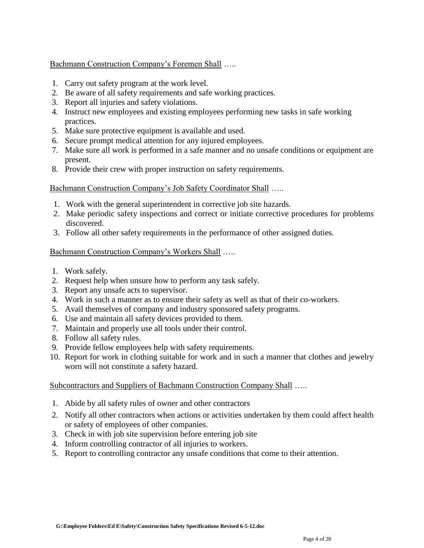Bachmann Construction Company's Foremen Shall …..

- 1. Carry out safety program at the work level.
- 2. Be aware of all safety requirements and safe working practices.
- 3. Report all injuries and safety violations.
- 4. Instruct new employees and existing employees performing new tasks in safe working practices.
- 5. Make sure protective equipment is available and used.
- 6. Secure prompt medical attention for any injured employees.
- 7. Make sure all work is performed in a safe manner and no unsafe conditions or equipment are present.
- 8. Provide their crew with proper instruction on safety requirements.

Bachmann Construction Company's Job Safety Coordinator Shall .....

- 1. Work with the general superintendent in corrective job site hazards.
- 2. Make periodic safety inspections and correct or initiate corrective procedures for problems discovered.
- 3. Follow all other safety requirements in the performance of other assigned duties.

# Bachmann Construction Company's Workers Shall …..

- 1. Work safely.
- 2. Request help when unsure how to perform any task safely.
- 3. Report any unsafe acts to supervisor.
- 4. Work in such a manner as to ensure their safety as well as that of their co-workers.
- 5. Avail themselves of company and industry sponsored safety programs.
- 6. Use and maintain all safety devices provided to them.
- 7. Maintain and properly use all tools under their control.
- 8. Follow all safety rules.
- 9. Provide fellow employees help with safety requirements.
- 10. Report for work in clothing suitable for work and in such a manner that clothes and jewelry worn will not constitute a safety hazard.

# Subcontractors and Suppliers of Bachmann Construction Company Shall …..

- 1. Abide by all safety rules of owner and other contractors
- 2. Notify all other contractors when actions or activities undertaken by them could affect health or safety of employees of other companies.
- 3. Check in with job site supervision before entering job site
- 4. Inform controlling contractor of all injuries to workers.
- 5. Report to controlling contractor any unsafe conditions that come to their attention.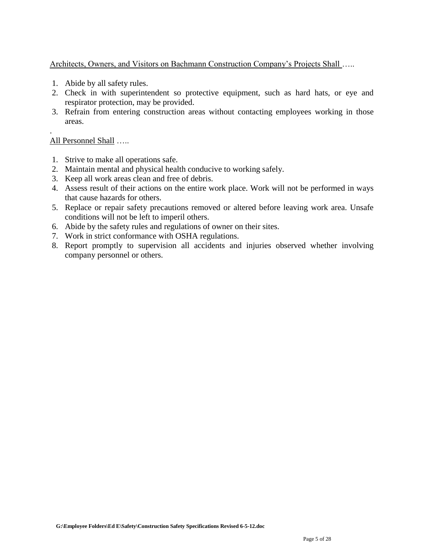Architects, Owners, and Visitors on Bachmann Construction Company's Projects Shall …..

- 1. Abide by all safety rules.
- 2. Check in with superintendent so protective equipment, such as hard hats, or eye and respirator protection, may be provided.
- 3. Refrain from entering construction areas without contacting employees working in those areas.

# All Personnel Shall …..

.

- 1. Strive to make all operations safe.
- 2. Maintain mental and physical health conducive to working safely.
- 3. Keep all work areas clean and free of debris.
- 4. Assess result of their actions on the entire work place. Work will not be performed in ways that cause hazards for others.
- 5. Replace or repair safety precautions removed or altered before leaving work area. Unsafe conditions will not be left to imperil others.
- 6. Abide by the safety rules and regulations of owner on their sites.
- 7. Work in strict conformance with OSHA regulations.
- 8. Report promptly to supervision all accidents and injuries observed whether involving company personnel or others.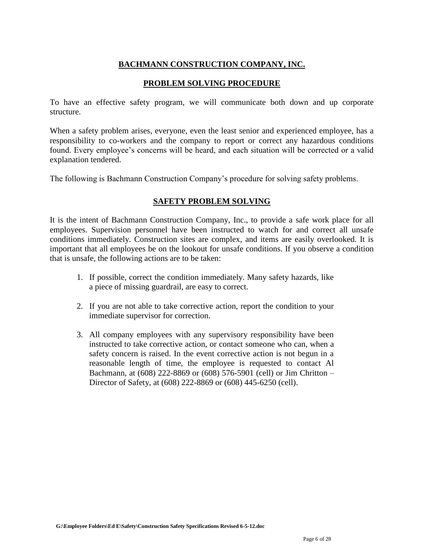# **BACHMANN CONSTRUCTION COMPANY, INC.**

# **PROBLEM SOLVING PROCEDURE**

To have an effective safety program, we will communicate both down and up corporate structure.

When a safety problem arises, everyone, even the least senior and experienced employee, has a responsibility to co-workers and the company to report or correct any hazardous conditions found. Every employee's concerns will be heard, and each situation will be corrected or a valid explanation tendered.

The following is Bachmann Construction Company's procedure for solving safety problems.

# **SAFETY PROBLEM SOLVING**

It is the intent of Bachmann Construction Company, Inc., to provide a safe work place for all employees. Supervision personnel have been instructed to watch for and correct all unsafe conditions immediately. Construction sites are complex, and items are easily overlooked. It is important that all employees be on the lookout for unsafe conditions. If you observe a condition that is unsafe, the following actions are to be taken:

- 1. If possible, correct the condition immediately. Many safety hazards, like a piece of missing guardrail, are easy to correct.
- 2. If you are not able to take corrective action, report the condition to your immediate supervisor for correction.
- 3. All company employees with any supervisory responsibility have been instructed to take corrective action, or contact someone who can, when a safety concern is raised. In the event corrective action is not begun in a reasonable length of time, the employee is requested to contact Al Bachmann, at (608) 222-8869 or (608) 576-5901 (cell) or Jim Chritton – Director of Safety, at (608) 222-8869 or (608) 445-6250 (cell).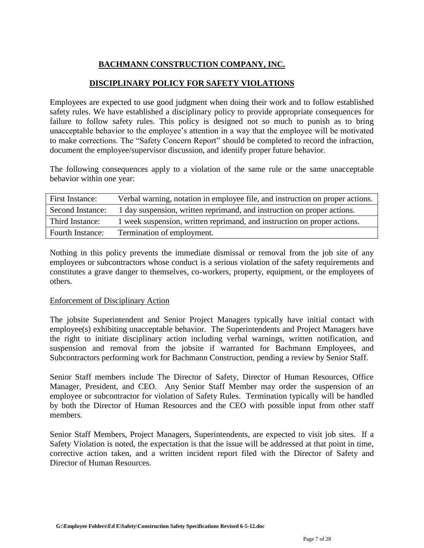# **BACHMANN CONSTRUCTION COMPANY, INC.**

# **DISCIPLINARY POLICY FOR SAFETY VIOLATIONS**

Employees are expected to use good judgment when doing their work and to follow established safety rules. We have established a disciplinary policy to provide appropriate consequences for failure to follow safety rules. This policy is designed not so much to punish as to bring unacceptable behavior to the employee's attention in a way that the employee will be motivated to make corrections. The "Safety Concern Report" should be completed to record the infraction, document the employee/supervisor discussion, and identify proper future behavior.

The following consequences apply to a violation of the same rule or the same unacceptable behavior within one year:

| First Instance:         | Verbal warning, notation in employee file, and instruction on proper actions. |
|-------------------------|-------------------------------------------------------------------------------|
| Second Instance:        | 1 day suspension, written reprimand, and instruction on proper actions.       |
| Third Instance:         | 1 week suspension, written reprimand, and instruction on proper actions.      |
| <b>Fourth Instance:</b> | Termination of employment.                                                    |

Nothing in this policy prevents the immediate dismissal or removal from the job site of any employees or subcontractors whose conduct is a serious violation of the safety requirements and constitutes a grave danger to themselves, co-workers, property, equipment, or the employees of others.

# Enforcement of Disciplinary Action

The jobsite Superintendent and Senior Project Managers typically have initial contact with employee(s) exhibiting unacceptable behavior. The Superintendents and Project Managers have the right to initiate disciplinary action including verbal warnings, written notification, and suspension and removal from the jobsite if warranted for Bachmann Employees, and Subcontractors performing work for Bachmann Construction, pending a review by Senior Staff.

Senior Staff members include The Director of Safety, Director of Human Resources, Office Manager, President, and CEO. Any Senior Staff Member may order the suspension of an employee or subcontractor for violation of Safety Rules. Termination typically will be handled by both the Director of Human Resources and the CEO with possible input from other staff members.

Senior Staff Members, Project Managers, Superintendents, are expected to visit job sites. If a Safety Violation is noted, the expectation is that the issue will be addressed at that point in time, corrective action taken, and a written incident report filed with the Director of Safety and Director of Human Resources.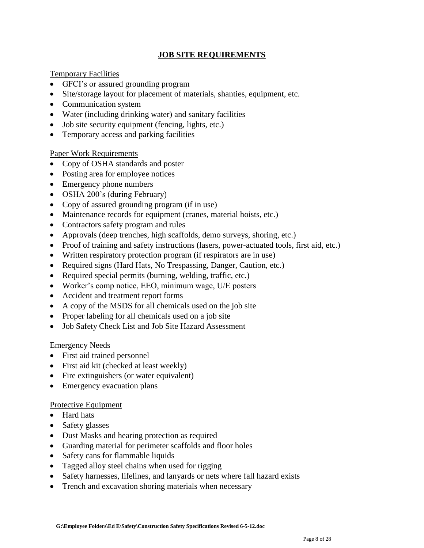# **JOB SITE REQUIREMENTS**

# Temporary Facilities

- GFCI's or assured grounding program
- Site/storage layout for placement of materials, shanties, equipment, etc.
- Communication system
- Water (including drinking water) and sanitary facilities
- Job site security equipment (fencing, lights, etc.)
- Temporary access and parking facilities

# Paper Work Requirements

- Copy of OSHA standards and poster
- Posting area for employee notices
- Emergency phone numbers
- OSHA 200's (during February)
- Copy of assured grounding program (if in use)
- Maintenance records for equipment (cranes, material hoists, etc.)
- Contractors safety program and rules
- Approvals (deep trenches, high scaffolds, demo surveys, shoring, etc.)
- Proof of training and safety instructions (lasers, power-actuated tools, first aid, etc.)
- Written respiratory protection program (if respirators are in use)
- Required signs (Hard Hats, No Trespassing, Danger, Caution, etc.)
- Required special permits (burning, welding, traffic, etc.)
- Worker's comp notice, EEO, minimum wage, U/E posters
- Accident and treatment report forms
- A copy of the MSDS for all chemicals used on the job site
- Proper labeling for all chemicals used on a job site
- Job Safety Check List and Job Site Hazard Assessment

# Emergency Needs

- First aid trained personnel
- First aid kit (checked at least weekly)
- Fire extinguishers (or water equivalent)
- Emergency evacuation plans

# Protective Equipment

- Hard hats
- Safety glasses
- Dust Masks and hearing protection as required
- Guarding material for perimeter scaffolds and floor holes
- Safety cans for flammable liquids
- Tagged alloy steel chains when used for rigging
- Safety harnesses, lifelines, and lanyards or nets where fall hazard exists
- Trench and excavation shoring materials when necessary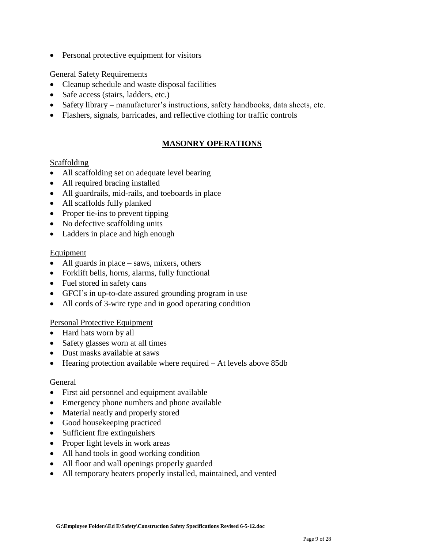• Personal protective equipment for visitors

# General Safety Requirements

- Cleanup schedule and waste disposal facilities
- Safe access (stairs, ladders, etc.)
- Safety library manufacturer's instructions, safety handbooks, data sheets, etc.
- Flashers, signals, barricades, and reflective clothing for traffic controls

# **MASONRY OPERATIONS**

## **Scaffolding**

- All scaffolding set on adequate level bearing
- All required bracing installed
- All guardrails, mid-rails, and toeboards in place
- All scaffolds fully planked
- Proper tie-ins to prevent tipping
- No defective scaffolding units
- Ladders in place and high enough

## Equipment

- $\bullet$  All guards in place saws, mixers, others
- Forklift bells, horns, alarms, fully functional
- Fuel stored in safety cans
- GFCI's in up-to-date assured grounding program in use
- All cords of 3-wire type and in good operating condition

# Personal Protective Equipment

- Hard hats worn by all
- Safety glasses worn at all times
- Dust masks available at saws
- Hearing protection available where required At levels above 85db

# General

- First aid personnel and equipment available
- Emergency phone numbers and phone available
- Material neatly and properly stored
- Good housekeeping practiced
- Sufficient fire extinguishers
- Proper light levels in work areas
- All hand tools in good working condition
- All floor and wall openings properly guarded
- All temporary heaters properly installed, maintained, and vented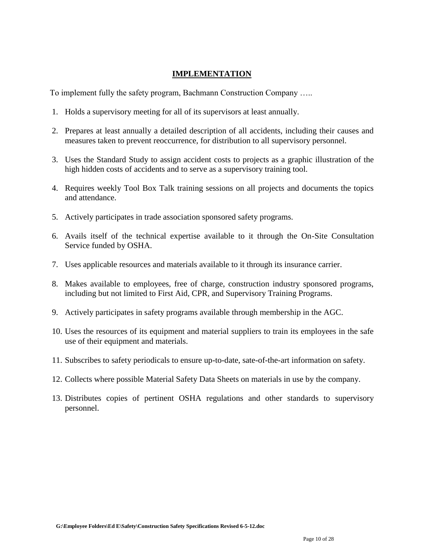# **IMPLEMENTATION**

To implement fully the safety program, Bachmann Construction Company …..

- 1. Holds a supervisory meeting for all of its supervisors at least annually.
- 2. Prepares at least annually a detailed description of all accidents, including their causes and measures taken to prevent reoccurrence, for distribution to all supervisory personnel.
- 3. Uses the Standard Study to assign accident costs to projects as a graphic illustration of the high hidden costs of accidents and to serve as a supervisory training tool.
- 4. Requires weekly Tool Box Talk training sessions on all projects and documents the topics and attendance.
- 5. Actively participates in trade association sponsored safety programs.
- 6. Avails itself of the technical expertise available to it through the On-Site Consultation Service funded by OSHA.
- 7. Uses applicable resources and materials available to it through its insurance carrier.
- 8. Makes available to employees, free of charge, construction industry sponsored programs, including but not limited to First Aid, CPR, and Supervisory Training Programs.
- 9. Actively participates in safety programs available through membership in the AGC.
- 10. Uses the resources of its equipment and material suppliers to train its employees in the safe use of their equipment and materials.
- 11. Subscribes to safety periodicals to ensure up-to-date, sate-of-the-art information on safety.
- 12. Collects where possible Material Safety Data Sheets on materials in use by the company.
- 13. Distributes copies of pertinent OSHA regulations and other standards to supervisory personnel.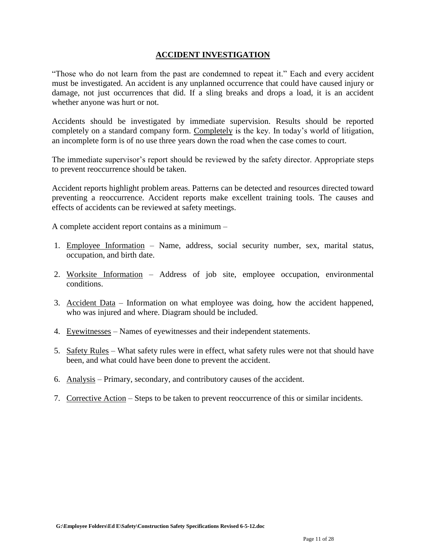# **ACCIDENT INVESTIGATION**

"Those who do not learn from the past are condemned to repeat it." Each and every accident must be investigated. An accident is any unplanned occurrence that could have caused injury or damage, not just occurrences that did. If a sling breaks and drops a load, it is an accident whether anyone was hurt or not.

Accidents should be investigated by immediate supervision. Results should be reported completely on a standard company form. Completely is the key. In today's world of litigation, an incomplete form is of no use three years down the road when the case comes to court.

The immediate supervisor's report should be reviewed by the safety director. Appropriate steps to prevent reoccurrence should be taken.

Accident reports highlight problem areas. Patterns can be detected and resources directed toward preventing a reoccurrence. Accident reports make excellent training tools. The causes and effects of accidents can be reviewed at safety meetings.

A complete accident report contains as a minimum –

- 1. Employee Information Name, address, social security number, sex, marital status, occupation, and birth date.
- 2. Worksite Information Address of job site, employee occupation, environmental conditions.
- 3. Accident Data Information on what employee was doing, how the accident happened, who was injured and where. Diagram should be included.
- 4. Eyewitnesses Names of eyewitnesses and their independent statements.
- 5. Safety Rules What safety rules were in effect, what safety rules were not that should have been, and what could have been done to prevent the accident.
- 6. Analysis Primary, secondary, and contributory causes of the accident.
- 7. Corrective Action Steps to be taken to prevent reoccurrence of this or similar incidents.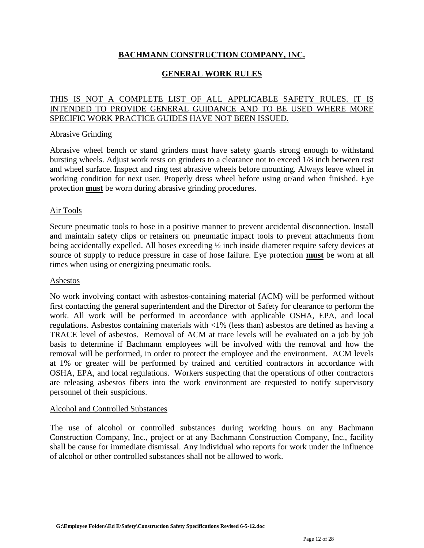# **BACHMANN CONSTRUCTION COMPANY, INC.**

# **GENERAL WORK RULES**

# THIS IS NOT A COMPLETE LIST OF ALL APPLICABLE SAFETY RULES. IT IS INTENDED TO PROVIDE GENERAL GUIDANCE AND TO BE USED WHERE MORE SPECIFIC WORK PRACTICE GUIDES HAVE NOT BEEN ISSUED.

## Abrasive Grinding

Abrasive wheel bench or stand grinders must have safety guards strong enough to withstand bursting wheels. Adjust work rests on grinders to a clearance not to exceed 1/8 inch between rest and wheel surface. Inspect and ring test abrasive wheels before mounting. Always leave wheel in working condition for next user. Properly dress wheel before using or/and when finished. Eye protection **must** be worn during abrasive grinding procedures.

## Air Tools

Secure pneumatic tools to hose in a positive manner to prevent accidental disconnection. Install and maintain safety clips or retainers on pneumatic impact tools to prevent attachments from being accidentally expelled. All hoses exceeding ½ inch inside diameter require safety devices at source of supply to reduce pressure in case of hose failure. Eye protection **must** be worn at all times when using or energizing pneumatic tools.

#### Asbestos

No work involving contact with asbestos-containing material (ACM) will be performed without first contacting the general superintendent and the Director of Safety for clearance to perform the work. All work will be performed in accordance with applicable OSHA, EPA, and local regulations. Asbestos containing materials with <1% (less than) asbestos are defined as having a TRACE level of asbestos. Removal of ACM at trace levels will be evaluated on a job by job basis to determine if Bachmann employees will be involved with the removal and how the removal will be performed, in order to protect the employee and the environment. ACM levels at 1% or greater will be performed by trained and certified contractors in accordance with OSHA, EPA, and local regulations. Workers suspecting that the operations of other contractors are releasing asbestos fibers into the work environment are requested to notify supervisory personnel of their suspicions.

#### Alcohol and Controlled Substances

The use of alcohol or controlled substances during working hours on any Bachmann Construction Company, Inc., project or at any Bachmann Construction Company, Inc., facility shall be cause for immediate dismissal. Any individual who reports for work under the influence of alcohol or other controlled substances shall not be allowed to work.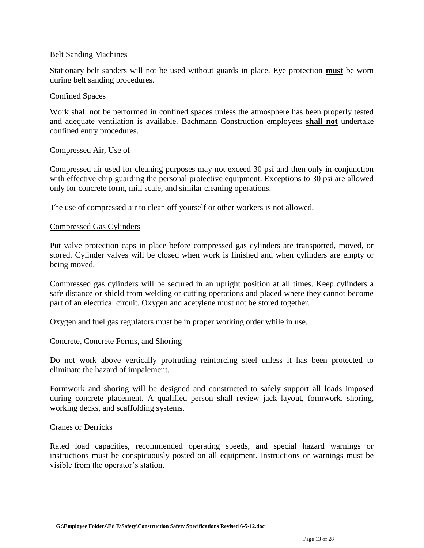## Belt Sanding Machines

Stationary belt sanders will not be used without guards in place. Eye protection **must** be worn during belt sanding procedures.

#### Confined Spaces

Work shall not be performed in confined spaces unless the atmosphere has been properly tested and adequate ventilation is available. Bachmann Construction employees **shall not** undertake confined entry procedures.

## Compressed Air, Use of

Compressed air used for cleaning purposes may not exceed 30 psi and then only in conjunction with effective chip guarding the personal protective equipment. Exceptions to 30 psi are allowed only for concrete form, mill scale, and similar cleaning operations.

The use of compressed air to clean off yourself or other workers is not allowed.

## Compressed Gas Cylinders

Put valve protection caps in place before compressed gas cylinders are transported, moved, or stored. Cylinder valves will be closed when work is finished and when cylinders are empty or being moved.

Compressed gas cylinders will be secured in an upright position at all times. Keep cylinders a safe distance or shield from welding or cutting operations and placed where they cannot become part of an electrical circuit. Oxygen and acetylene must not be stored together.

Oxygen and fuel gas regulators must be in proper working order while in use.

# Concrete, Concrete Forms, and Shoring

Do not work above vertically protruding reinforcing steel unless it has been protected to eliminate the hazard of impalement.

Formwork and shoring will be designed and constructed to safely support all loads imposed during concrete placement. A qualified person shall review jack layout, formwork, shoring, working decks, and scaffolding systems.

#### Cranes or Derricks

Rated load capacities, recommended operating speeds, and special hazard warnings or instructions must be conspicuously posted on all equipment. Instructions or warnings must be visible from the operator's station.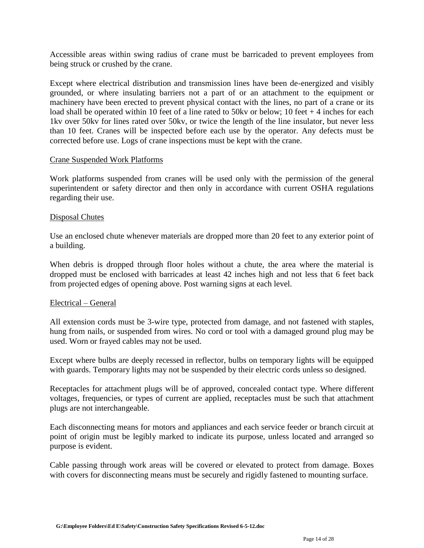Accessible areas within swing radius of crane must be barricaded to prevent employees from being struck or crushed by the crane.

Except where electrical distribution and transmission lines have been de-energized and visibly grounded, or where insulating barriers not a part of or an attachment to the equipment or machinery have been erected to prevent physical contact with the lines, no part of a crane or its load shall be operated within 10 feet of a line rated to 50kv or below; 10 feet + 4 inches for each 1kv over 50kv for lines rated over 50kv, or twice the length of the line insulator, but never less than 10 feet. Cranes will be inspected before each use by the operator. Any defects must be corrected before use. Logs of crane inspections must be kept with the crane.

#### Crane Suspended Work Platforms

Work platforms suspended from cranes will be used only with the permission of the general superintendent or safety director and then only in accordance with current OSHA regulations regarding their use.

## Disposal Chutes

Use an enclosed chute whenever materials are dropped more than 20 feet to any exterior point of a building.

When debris is dropped through floor holes without a chute, the area where the material is dropped must be enclosed with barricades at least 42 inches high and not less that 6 feet back from projected edges of opening above. Post warning signs at each level.

# Electrical – General

All extension cords must be 3-wire type, protected from damage, and not fastened with staples, hung from nails, or suspended from wires. No cord or tool with a damaged ground plug may be used. Worn or frayed cables may not be used.

Except where bulbs are deeply recessed in reflector, bulbs on temporary lights will be equipped with guards. Temporary lights may not be suspended by their electric cords unless so designed.

Receptacles for attachment plugs will be of approved, concealed contact type. Where different voltages, frequencies, or types of current are applied, receptacles must be such that attachment plugs are not interchangeable.

Each disconnecting means for motors and appliances and each service feeder or branch circuit at point of origin must be legibly marked to indicate its purpose, unless located and arranged so purpose is evident.

Cable passing through work areas will be covered or elevated to protect from damage. Boxes with covers for disconnecting means must be securely and rigidly fastened to mounting surface.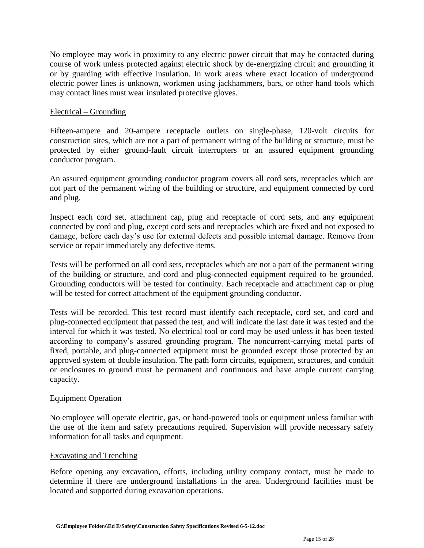No employee may work in proximity to any electric power circuit that may be contacted during course of work unless protected against electric shock by de-energizing circuit and grounding it or by guarding with effective insulation. In work areas where exact location of underground electric power lines is unknown, workmen using jackhammers, bars, or other hand tools which may contact lines must wear insulated protective gloves.

# Electrical – Grounding

Fifteen-ampere and 20-ampere receptacle outlets on single-phase, 120-volt circuits for construction sites, which are not a part of permanent wiring of the building or structure, must be protected by either ground-fault circuit interrupters or an assured equipment grounding conductor program.

An assured equipment grounding conductor program covers all cord sets, receptacles which are not part of the permanent wiring of the building or structure, and equipment connected by cord and plug.

Inspect each cord set, attachment cap, plug and receptacle of cord sets, and any equipment connected by cord and plug, except cord sets and receptacles which are fixed and not exposed to damage, before each day's use for external defects and possible internal damage. Remove from service or repair immediately any defective items.

Tests will be performed on all cord sets, receptacles which are not a part of the permanent wiring of the building or structure, and cord and plug-connected equipment required to be grounded. Grounding conductors will be tested for continuity. Each receptacle and attachment cap or plug will be tested for correct attachment of the equipment grounding conductor.

Tests will be recorded. This test record must identify each receptacle, cord set, and cord and plug-connected equipment that passed the test, and will indicate the last date it was tested and the interval for which it was tested. No electrical tool or cord may be used unless it has been tested according to company's assured grounding program. The noncurrent-carrying metal parts of fixed, portable, and plug-connected equipment must be grounded except those protected by an approved system of double insulation. The path form circuits, equipment, structures, and conduit or enclosures to ground must be permanent and continuous and have ample current carrying capacity.

# Equipment Operation

No employee will operate electric, gas, or hand-powered tools or equipment unless familiar with the use of the item and safety precautions required. Supervision will provide necessary safety information for all tasks and equipment.

# Excavating and Trenching

Before opening any excavation, efforts, including utility company contact, must be made to determine if there are underground installations in the area. Underground facilities must be located and supported during excavation operations.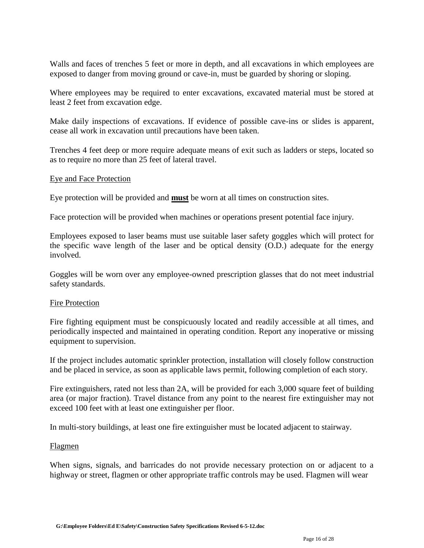Walls and faces of trenches 5 feet or more in depth, and all excavations in which employees are exposed to danger from moving ground or cave-in, must be guarded by shoring or sloping.

Where employees may be required to enter excavations, excavated material must be stored at least 2 feet from excavation edge.

Make daily inspections of excavations. If evidence of possible cave-ins or slides is apparent, cease all work in excavation until precautions have been taken.

Trenches 4 feet deep or more require adequate means of exit such as ladders or steps, located so as to require no more than 25 feet of lateral travel.

## Eye and Face Protection

Eye protection will be provided and **must** be worn at all times on construction sites.

Face protection will be provided when machines or operations present potential face injury.

Employees exposed to laser beams must use suitable laser safety goggles which will protect for the specific wave length of the laser and be optical density (O.D.) adequate for the energy involved.

Goggles will be worn over any employee-owned prescription glasses that do not meet industrial safety standards.

#### Fire Protection

Fire fighting equipment must be conspicuously located and readily accessible at all times, and periodically inspected and maintained in operating condition. Report any inoperative or missing equipment to supervision.

If the project includes automatic sprinkler protection, installation will closely follow construction and be placed in service, as soon as applicable laws permit, following completion of each story.

Fire extinguishers, rated not less than 2A, will be provided for each 3,000 square feet of building area (or major fraction). Travel distance from any point to the nearest fire extinguisher may not exceed 100 feet with at least one extinguisher per floor.

In multi-story buildings, at least one fire extinguisher must be located adjacent to stairway.

#### Flagmen

When signs, signals, and barricades do not provide necessary protection on or adjacent to a highway or street, flagmen or other appropriate traffic controls may be used. Flagmen will wear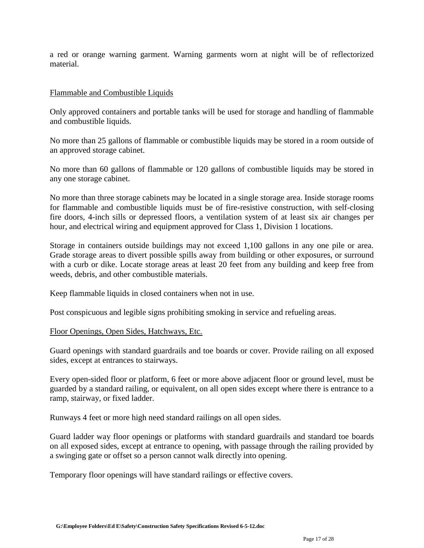a red or orange warning garment. Warning garments worn at night will be of reflectorized material.

## Flammable and Combustible Liquids

Only approved containers and portable tanks will be used for storage and handling of flammable and combustible liquids.

No more than 25 gallons of flammable or combustible liquids may be stored in a room outside of an approved storage cabinet.

No more than 60 gallons of flammable or 120 gallons of combustible liquids may be stored in any one storage cabinet.

No more than three storage cabinets may be located in a single storage area. Inside storage rooms for flammable and combustible liquids must be of fire-resistive construction, with self-closing fire doors, 4-inch sills or depressed floors, a ventilation system of at least six air changes per hour, and electrical wiring and equipment approved for Class 1, Division 1 locations.

Storage in containers outside buildings may not exceed 1,100 gallons in any one pile or area. Grade storage areas to divert possible spills away from building or other exposures, or surround with a curb or dike. Locate storage areas at least 20 feet from any building and keep free from weeds, debris, and other combustible materials.

Keep flammable liquids in closed containers when not in use.

Post conspicuous and legible signs prohibiting smoking in service and refueling areas.

# Floor Openings, Open Sides, Hatchways, Etc.

Guard openings with standard guardrails and toe boards or cover. Provide railing on all exposed sides, except at entrances to stairways.

Every open-sided floor or platform, 6 feet or more above adjacent floor or ground level, must be guarded by a standard railing, or equivalent, on all open sides except where there is entrance to a ramp, stairway, or fixed ladder.

Runways 4 feet or more high need standard railings on all open sides.

Guard ladder way floor openings or platforms with standard guardrails and standard toe boards on all exposed sides, except at entrance to opening, with passage through the railing provided by a swinging gate or offset so a person cannot walk directly into opening.

Temporary floor openings will have standard railings or effective covers.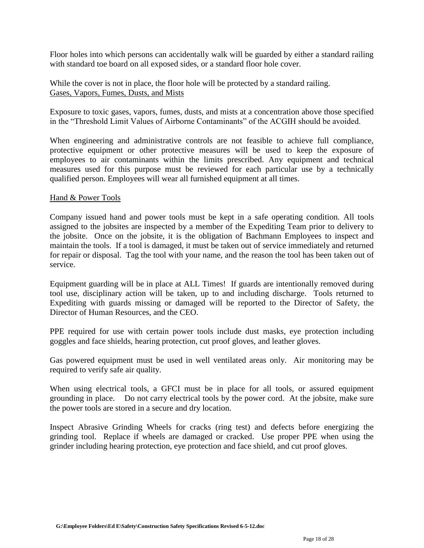Floor holes into which persons can accidentally walk will be guarded by either a standard railing with standard toe board on all exposed sides, or a standard floor hole cover.

While the cover is not in place, the floor hole will be protected by a standard railing. Gases, Vapors, Fumes, Dusts, and Mists

Exposure to toxic gases, vapors, fumes, dusts, and mists at a concentration above those specified in the "Threshold Limit Values of Airborne Contaminants" of the ACGIH should be avoided.

When engineering and administrative controls are not feasible to achieve full compliance, protective equipment or other protective measures will be used to keep the exposure of employees to air contaminants within the limits prescribed. Any equipment and technical measures used for this purpose must be reviewed for each particular use by a technically qualified person. Employees will wear all furnished equipment at all times.

## Hand & Power Tools

Company issued hand and power tools must be kept in a safe operating condition. All tools assigned to the jobsites are inspected by a member of the Expediting Team prior to delivery to the jobsite. Once on the jobsite, it is the obligation of Bachmann Employees to inspect and maintain the tools. If a tool is damaged, it must be taken out of service immediately and returned for repair or disposal. Tag the tool with your name, and the reason the tool has been taken out of service.

Equipment guarding will be in place at ALL Times! If guards are intentionally removed during tool use, disciplinary action will be taken, up to and including discharge. Tools returned to Expediting with guards missing or damaged will be reported to the Director of Safety, the Director of Human Resources, and the CEO.

PPE required for use with certain power tools include dust masks, eye protection including goggles and face shields, hearing protection, cut proof gloves, and leather gloves.

Gas powered equipment must be used in well ventilated areas only. Air monitoring may be required to verify safe air quality.

When using electrical tools, a GFCI must be in place for all tools, or assured equipment grounding in place. Do not carry electrical tools by the power cord. At the jobsite, make sure the power tools are stored in a secure and dry location.

Inspect Abrasive Grinding Wheels for cracks (ring test) and defects before energizing the grinding tool. Replace if wheels are damaged or cracked. Use proper PPE when using the grinder including hearing protection, eye protection and face shield, and cut proof gloves.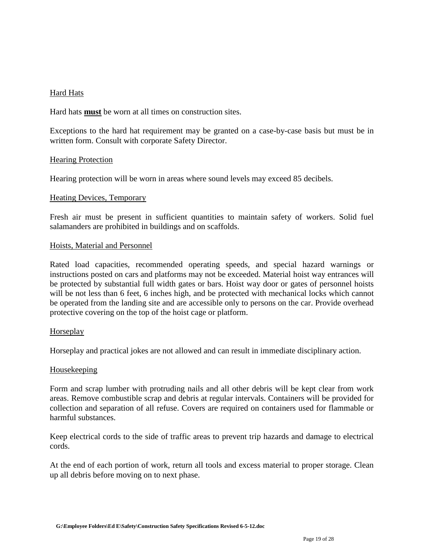# Hard Hats

Hard hats **must** be worn at all times on construction sites.

Exceptions to the hard hat requirement may be granted on a case-by-case basis but must be in written form. Consult with corporate Safety Director.

#### Hearing Protection

Hearing protection will be worn in areas where sound levels may exceed 85 decibels.

## Heating Devices, Temporary

Fresh air must be present in sufficient quantities to maintain safety of workers. Solid fuel salamanders are prohibited in buildings and on scaffolds.

#### Hoists, Material and Personnel

Rated load capacities, recommended operating speeds, and special hazard warnings or instructions posted on cars and platforms may not be exceeded. Material hoist way entrances will be protected by substantial full width gates or bars. Hoist way door or gates of personnel hoists will be not less than 6 feet, 6 inches high, and be protected with mechanical locks which cannot be operated from the landing site and are accessible only to persons on the car. Provide overhead protective covering on the top of the hoist cage or platform.

#### Horseplay

Horseplay and practical jokes are not allowed and can result in immediate disciplinary action.

#### Housekeeping

Form and scrap lumber with protruding nails and all other debris will be kept clear from work areas. Remove combustible scrap and debris at regular intervals. Containers will be provided for collection and separation of all refuse. Covers are required on containers used for flammable or harmful substances.

Keep electrical cords to the side of traffic areas to prevent trip hazards and damage to electrical cords.

At the end of each portion of work, return all tools and excess material to proper storage. Clean up all debris before moving on to next phase.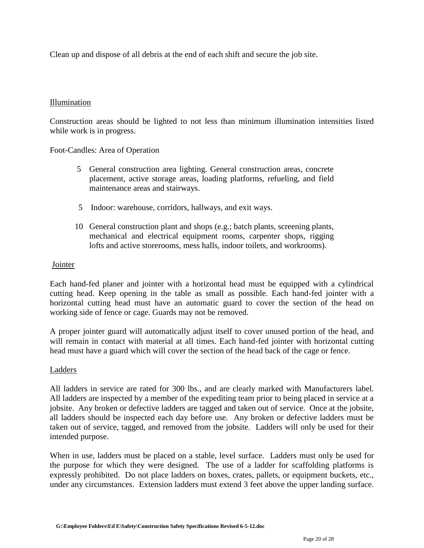Clean up and dispose of all debris at the end of each shift and secure the job site.

# Illumination

Construction areas should be lighted to not less than minimum illumination intensities listed while work is in progress.

Foot-Candles: Area of Operation

- 5 General construction area lighting. General construction areas, concrete placement, active storage areas, loading platforms, refueling, and field maintenance areas and stairways.
- 5 Indoor: warehouse, corridors, hallways, and exit ways.
- 10 General construction plant and shops (e.g.; batch plants, screening plants, mechanical and electrical equipment rooms, carpenter shops, rigging lofts and active storerooms, mess halls, indoor toilets, and workrooms).

# Jointer

Each hand-fed planer and jointer with a horizontal head must be equipped with a cylindrical cutting head. Keep opening in the table as small as possible. Each hand-fed jointer with a horizontal cutting head must have an automatic guard to cover the section of the head on working side of fence or cage. Guards may not be removed.

A proper jointer guard will automatically adjust itself to cover unused portion of the head, and will remain in contact with material at all times. Each hand-fed jointer with horizontal cutting head must have a guard which will cover the section of the head back of the cage or fence.

# Ladders

All ladders in service are rated for 300 lbs., and are clearly marked with Manufacturers label. All ladders are inspected by a member of the expediting team prior to being placed in service at a jobsite. Any broken or defective ladders are tagged and taken out of service. Once at the jobsite, all ladders should be inspected each day before use. Any broken or defective ladders must be taken out of service, tagged, and removed from the jobsite. Ladders will only be used for their intended purpose.

When in use, ladders must be placed on a stable, level surface. Ladders must only be used for the purpose for which they were designed. The use of a ladder for scaffolding platforms is expressly prohibited. Do not place ladders on boxes, crates, pallets, or equipment buckets, etc., under any circumstances.Extension ladders must extend 3 feet above the upper landing surface.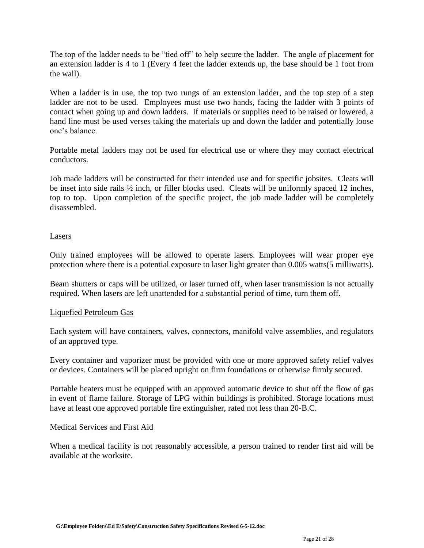The top of the ladder needs to be "tied off" to help secure the ladder. The angle of placement for an extension ladder is 4 to 1 (Every 4 feet the ladder extends up, the base should be 1 foot from the wall).

When a ladder is in use, the top two rungs of an extension ladder, and the top step of a step ladder are not to be used. Employees must use two hands, facing the ladder with 3 points of contact when going up and down ladders. If materials or supplies need to be raised or lowered, a hand line must be used verses taking the materials up and down the ladder and potentially loose one's balance.

Portable metal ladders may not be used for electrical use or where they may contact electrical conductors.

Job made ladders will be constructed for their intended use and for specific jobsites. Cleats will be inset into side rails ½ inch, or filler blocks used. Cleats will be uniformly spaced 12 inches, top to top. Upon completion of the specific project, the job made ladder will be completely disassembled.

# **Lasers**

Only trained employees will be allowed to operate lasers. Employees will wear proper eye protection where there is a potential exposure to laser light greater than 0.005 watts(5 milliwatts).

Beam shutters or caps will be utilized, or laser turned off, when laser transmission is not actually required. When lasers are left unattended for a substantial period of time, turn them off.

# Liquefied Petroleum Gas

Each system will have containers, valves, connectors, manifold valve assemblies, and regulators of an approved type.

Every container and vaporizer must be provided with one or more approved safety relief valves or devices. Containers will be placed upright on firm foundations or otherwise firmly secured.

Portable heaters must be equipped with an approved automatic device to shut off the flow of gas in event of flame failure. Storage of LPG within buildings is prohibited. Storage locations must have at least one approved portable fire extinguisher, rated not less than 20-B.C.

#### Medical Services and First Aid

When a medical facility is not reasonably accessible, a person trained to render first aid will be available at the worksite.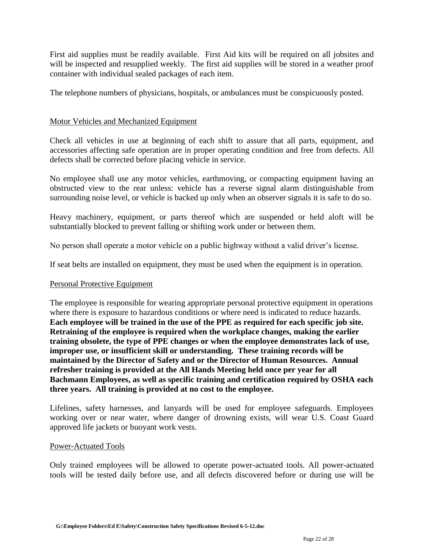First aid supplies must be readily available. First Aid kits will be required on all jobsites and will be inspected and resupplied weekly. The first aid supplies will be stored in a weather proof container with individual sealed packages of each item.

The telephone numbers of physicians, hospitals, or ambulances must be conspicuously posted.

# Motor Vehicles and Mechanized Equipment

Check all vehicles in use at beginning of each shift to assure that all parts, equipment, and accessories affecting safe operation are in proper operating condition and free from defects. All defects shall be corrected before placing vehicle in service.

No employee shall use any motor vehicles, earthmoving, or compacting equipment having an obstructed view to the rear unless: vehicle has a reverse signal alarm distinguishable from surrounding noise level, or vehicle is backed up only when an observer signals it is safe to do so.

Heavy machinery, equipment, or parts thereof which are suspended or held aloft will be substantially blocked to prevent falling or shifting work under or between them.

No person shall operate a motor vehicle on a public highway without a valid driver's license.

If seat belts are installed on equipment, they must be used when the equipment is in operation.

# Personal Protective Equipment

The employee is responsible for wearing appropriate personal protective equipment in operations where there is exposure to hazardous conditions or where need is indicated to reduce hazards. **Each employee will be trained in the use of the PPE as required for each specific job site. Retraining of the employee is required when the workplace changes, making the earlier training obsolete, the type of PPE changes or when the employee demonstrates lack of use, improper use, or insufficient skill or understanding. These training records will be maintained by the Director of Safety and or the Director of Human Resources. Annual refresher training is provided at the All Hands Meeting held once per year for all Bachmann Employees, as well as specific training and certification required by OSHA each three years. All training is provided at no cost to the employee.** 

Lifelines, safety harnesses, and lanyards will be used for employee safeguards. Employees working over or near water, where danger of drowning exists, will wear U.S. Coast Guard approved life jackets or buoyant work vests.

#### Power-Actuated Tools

Only trained employees will be allowed to operate power-actuated tools. All power-actuated tools will be tested daily before use, and all defects discovered before or during use will be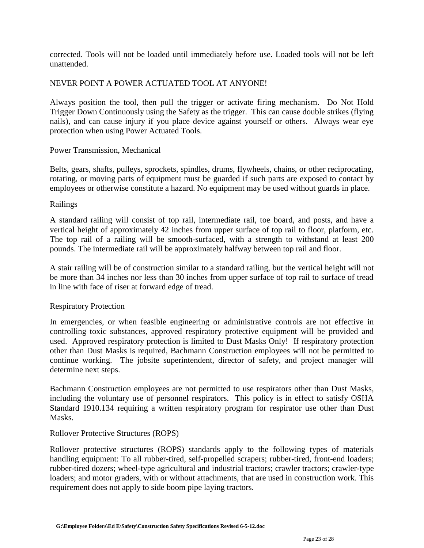corrected. Tools will not be loaded until immediately before use. Loaded tools will not be left unattended.

# NEVER POINT A POWER ACTUATED TOOL AT ANYONE!

Always position the tool, then pull the trigger or activate firing mechanism. Do Not Hold Trigger Down Continuously using the Safety as the trigger. This can cause double strikes (flying nails), and can cause injury if you place device against yourself or others. Always wear eye protection when using Power Actuated Tools.

## Power Transmission, Mechanical

Belts, gears, shafts, pulleys, sprockets, spindles, drums, flywheels, chains, or other reciprocating, rotating, or moving parts of equipment must be guarded if such parts are exposed to contact by employees or otherwise constitute a hazard. No equipment may be used without guards in place.

## Railings

A standard railing will consist of top rail, intermediate rail, toe board, and posts, and have a vertical height of approximately 42 inches from upper surface of top rail to floor, platform, etc. The top rail of a railing will be smooth-surfaced, with a strength to withstand at least 200 pounds. The intermediate rail will be approximately halfway between top rail and floor.

A stair railing will be of construction similar to a standard railing, but the vertical height will not be more than 34 inches nor less than 30 inches from upper surface of top rail to surface of tread in line with face of riser at forward edge of tread.

# Respiratory Protection

In emergencies, or when feasible engineering or administrative controls are not effective in controlling toxic substances, approved respiratory protective equipment will be provided and used. Approved respiratory protection is limited to Dust Masks Only! If respiratory protection other than Dust Masks is required, Bachmann Construction employees will not be permitted to continue working. The jobsite superintendent, director of safety, and project manager will determine next steps.

Bachmann Construction employees are not permitted to use respirators other than Dust Masks, including the voluntary use of personnel respirators. This policy is in effect to satisfy OSHA Standard 1910.134 requiring a written respiratory program for respirator use other than Dust Masks.

# Rollover Protective Structures (ROPS)

Rollover protective structures (ROPS) standards apply to the following types of materials handling equipment: To all rubber-tired, self-propelled scrapers; rubber-tired, front-end loaders; rubber-tired dozers; wheel-type agricultural and industrial tractors; crawler tractors; crawler-type loaders; and motor graders, with or without attachments, that are used in construction work. This requirement does not apply to side boom pipe laying tractors.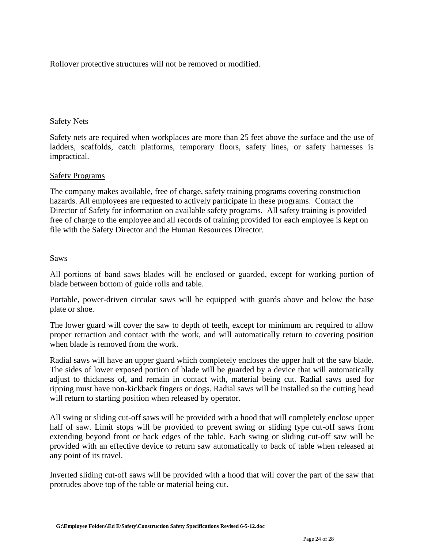Rollover protective structures will not be removed or modified.

# Safety Nets

Safety nets are required when workplaces are more than 25 feet above the surface and the use of ladders, scaffolds, catch platforms, temporary floors, safety lines, or safety harnesses is impractical.

## Safety Programs

The company makes available, free of charge, safety training programs covering construction hazards. All employees are requested to actively participate in these programs. Contact the Director of Safety for information on available safety programs.All safety training is provided free of charge to the employee and all records of training provided for each employee is kept on file with the Safety Director and the Human Resources Director.

## Saws

All portions of band saws blades will be enclosed or guarded, except for working portion of blade between bottom of guide rolls and table.

Portable, power-driven circular saws will be equipped with guards above and below the base plate or shoe.

The lower guard will cover the saw to depth of teeth, except for minimum arc required to allow proper retraction and contact with the work, and will automatically return to covering position when blade is removed from the work.

Radial saws will have an upper guard which completely encloses the upper half of the saw blade. The sides of lower exposed portion of blade will be guarded by a device that will automatically adjust to thickness of, and remain in contact with, material being cut. Radial saws used for ripping must have non-kickback fingers or dogs. Radial saws will be installed so the cutting head will return to starting position when released by operator.

All swing or sliding cut-off saws will be provided with a hood that will completely enclose upper half of saw. Limit stops will be provided to prevent swing or sliding type cut-off saws from extending beyond front or back edges of the table. Each swing or sliding cut-off saw will be provided with an effective device to return saw automatically to back of table when released at any point of its travel.

Inverted sliding cut-off saws will be provided with a hood that will cover the part of the saw that protrudes above top of the table or material being cut.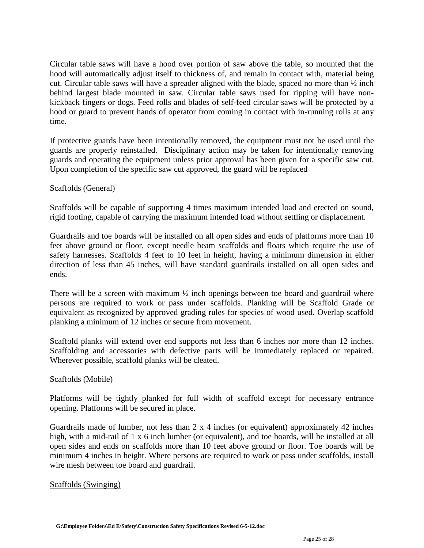Circular table saws will have a hood over portion of saw above the table, so mounted that the hood will automatically adjust itself to thickness of, and remain in contact with, material being cut. Circular table saws will have a spreader aligned with the blade, spaced no more than  $\frac{1}{2}$  inch behind largest blade mounted in saw. Circular table saws used for ripping will have nonkickback fingers or dogs. Feed rolls and blades of self-feed circular saws will be protected by a hood or guard to prevent hands of operator from coming in contact with in-running rolls at any time.

If protective guards have been intentionally removed, the equipment must not be used until the guards are properly reinstalled. Disciplinary action may be taken for intentionally removing guards and operating the equipment unless prior approval has been given for a specific saw cut. Upon completion of the specific saw cut approved, the guard will be replaced

# Scaffolds (General)

Scaffolds will be capable of supporting 4 times maximum intended load and erected on sound, rigid footing, capable of carrying the maximum intended load without settling or displacement.

Guardrails and toe boards will be installed on all open sides and ends of platforms more than 10 feet above ground or floor, except needle beam scaffolds and floats which require the use of safety harnesses. Scaffolds 4 feet to 10 feet in height, having a minimum dimension in either direction of less than 45 inches, will have standard guardrails installed on all open sides and ends.

There will be a screen with maximum  $\frac{1}{2}$  inch openings between toe board and guardrail where persons are required to work or pass under scaffolds. Planking will be Scaffold Grade or equivalent as recognized by approved grading rules for species of wood used. Overlap scaffold planking a minimum of 12 inches or secure from movement.

Scaffold planks will extend over end supports not less than 6 inches nor more than 12 inches. Scaffolding and accessories with defective parts will be immediately replaced or repaired. Wherever possible, scaffold planks will be cleated.

# Scaffolds (Mobile)

Platforms will be tightly planked for full width of scaffold except for necessary entrance opening. Platforms will be secured in place.

Guardrails made of lumber, not less than  $2 \times 4$  inches (or equivalent) approximately 42 inches high, with a mid-rail of 1 x 6 inch lumber (or equivalent), and toe boards, will be installed at all open sides and ends on scaffolds more than 10 feet above ground or floor. Toe boards will be minimum 4 inches in height. Where persons are required to work or pass under scaffolds, install wire mesh between toe board and guardrail.

# Scaffolds (Swinging)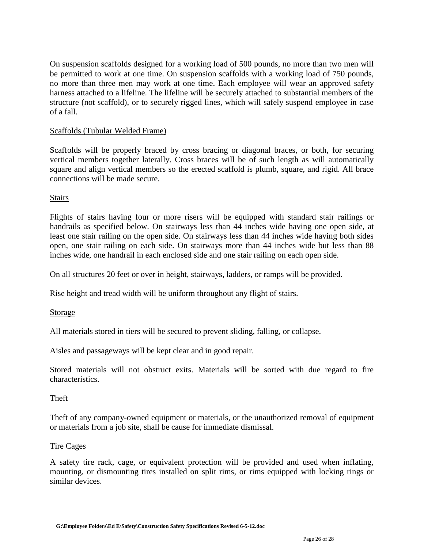On suspension scaffolds designed for a working load of 500 pounds, no more than two men will be permitted to work at one time. On suspension scaffolds with a working load of 750 pounds, no more than three men may work at one time. Each employee will wear an approved safety harness attached to a lifeline. The lifeline will be securely attached to substantial members of the structure (not scaffold), or to securely rigged lines, which will safely suspend employee in case of a fall.

# Scaffolds (Tubular Welded Frame)

Scaffolds will be properly braced by cross bracing or diagonal braces, or both, for securing vertical members together laterally. Cross braces will be of such length as will automatically square and align vertical members so the erected scaffold is plumb, square, and rigid. All brace connections will be made secure.

## **Stairs**

Flights of stairs having four or more risers will be equipped with standard stair railings or handrails as specified below. On stairways less than 44 inches wide having one open side, at least one stair railing on the open side. On stairways less than 44 inches wide having both sides open, one stair railing on each side. On stairways more than 44 inches wide but less than 88 inches wide, one handrail in each enclosed side and one stair railing on each open side.

On all structures 20 feet or over in height, stairways, ladders, or ramps will be provided.

Rise height and tread width will be uniform throughout any flight of stairs.

#### Storage

All materials stored in tiers will be secured to prevent sliding, falling, or collapse.

Aisles and passageways will be kept clear and in good repair.

Stored materials will not obstruct exits. Materials will be sorted with due regard to fire characteristics.

#### Theft

Theft of any company-owned equipment or materials, or the unauthorized removal of equipment or materials from a job site, shall be cause for immediate dismissal.

#### Tire Cages

A safety tire rack, cage, or equivalent protection will be provided and used when inflating, mounting, or dismounting tires installed on split rims, or rims equipped with locking rings or similar devices.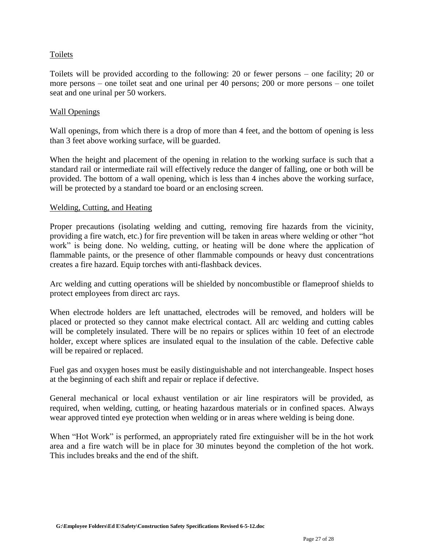# Toilets

Toilets will be provided according to the following: 20 or fewer persons – one facility; 20 or more persons – one toilet seat and one urinal per 40 persons; 200 or more persons – one toilet seat and one urinal per 50 workers.

## Wall Openings

Wall openings, from which there is a drop of more than 4 feet, and the bottom of opening is less than 3 feet above working surface, will be guarded.

When the height and placement of the opening in relation to the working surface is such that a standard rail or intermediate rail will effectively reduce the danger of falling, one or both will be provided. The bottom of a wall opening, which is less than 4 inches above the working surface, will be protected by a standard toe board or an enclosing screen.

## Welding, Cutting, and Heating

Proper precautions (isolating welding and cutting, removing fire hazards from the vicinity, providing a fire watch, etc.) for fire prevention will be taken in areas where welding or other "hot work" is being done. No welding, cutting, or heating will be done where the application of flammable paints, or the presence of other flammable compounds or heavy dust concentrations creates a fire hazard. Equip torches with anti-flashback devices.

Arc welding and cutting operations will be shielded by noncombustible or flameproof shields to protect employees from direct arc rays.

When electrode holders are left unattached, electrodes will be removed, and holders will be placed or protected so they cannot make electrical contact. All arc welding and cutting cables will be completely insulated. There will be no repairs or splices within 10 feet of an electrode holder, except where splices are insulated equal to the insulation of the cable. Defective cable will be repaired or replaced.

Fuel gas and oxygen hoses must be easily distinguishable and not interchangeable. Inspect hoses at the beginning of each shift and repair or replace if defective.

General mechanical or local exhaust ventilation or air line respirators will be provided, as required, when welding, cutting, or heating hazardous materials or in confined spaces. Always wear approved tinted eye protection when welding or in areas where welding is being done.

When "Hot Work" is performed, an appropriately rated fire extinguisher will be in the hot work area and a fire watch will be in place for 30 minutes beyond the completion of the hot work. This includes breaks and the end of the shift.